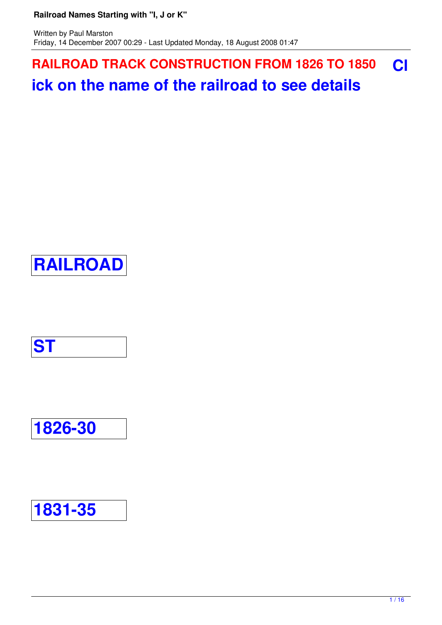**RAILROAD TRACK CONSTRUCTION FROM 1826 TO 1850 Cl ick on the name of the railroad to see details**



## **ST**



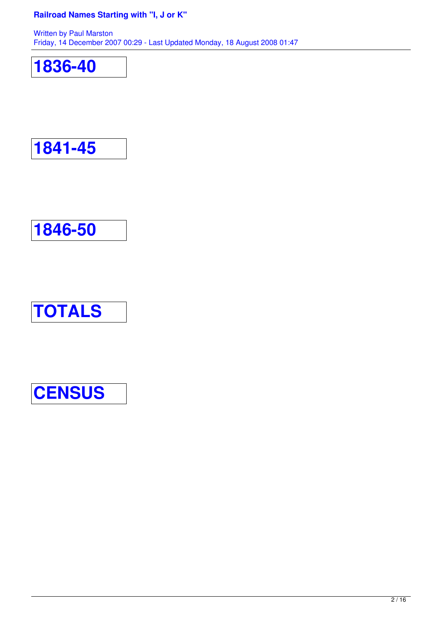### **1836-40**



## **1846-50**



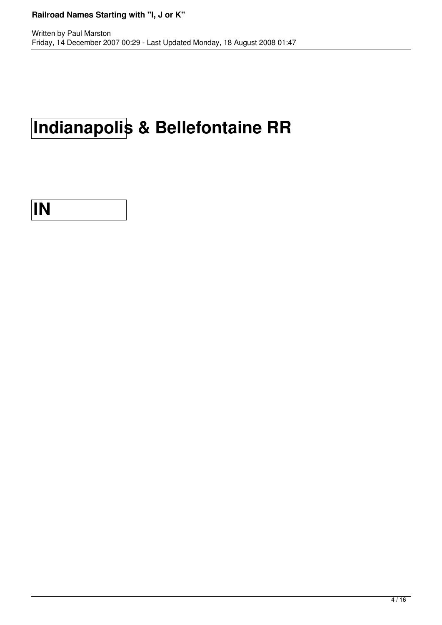## **Indianapolis & Bellefontaine RR**

## **IN**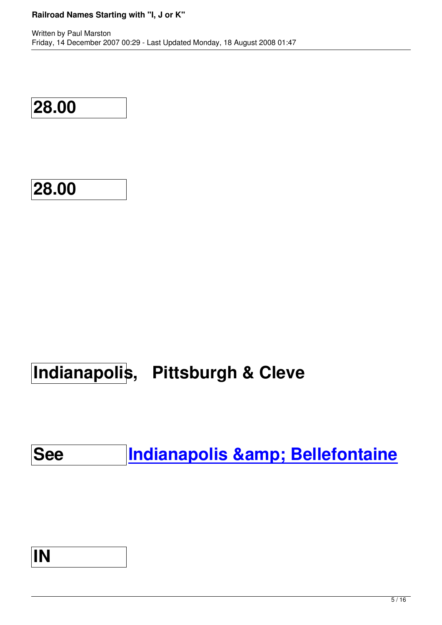## **28.00**

## **Indianapolis, Pittsburgh & Cleve**

## **See Indianapolis & amp; Bellefontaine**

#### **IN**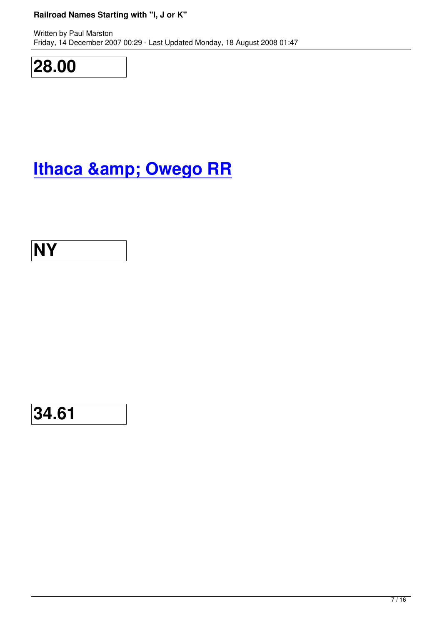Written by Paul Marston by Paul Marston by Paul Marston by Paul Marston by Paul Marston by Paul Marston by Pau

## **Ithaca & amp; Owego RR**

# **NY**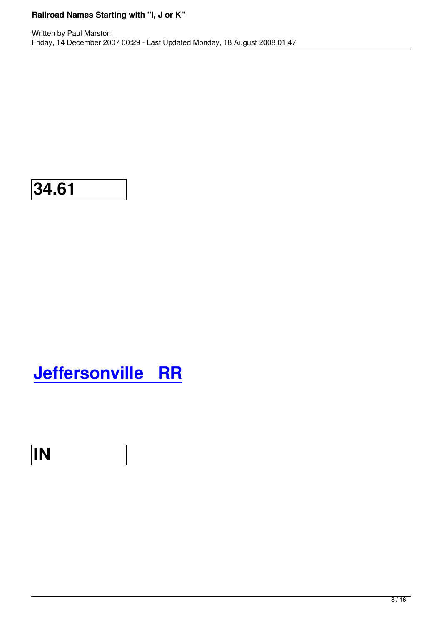## **Jeffersonville RR**

## **IN**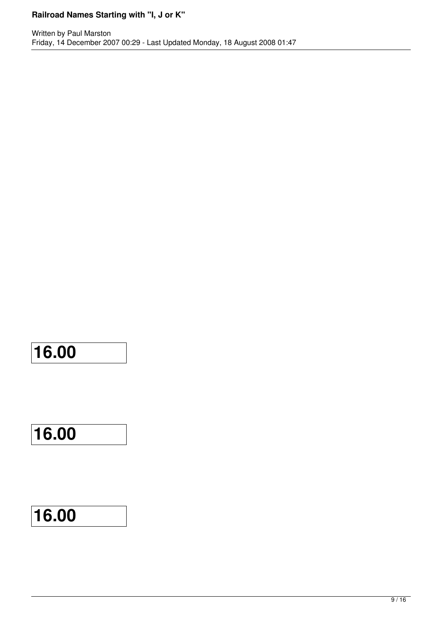#### **16.00**

### **16.00**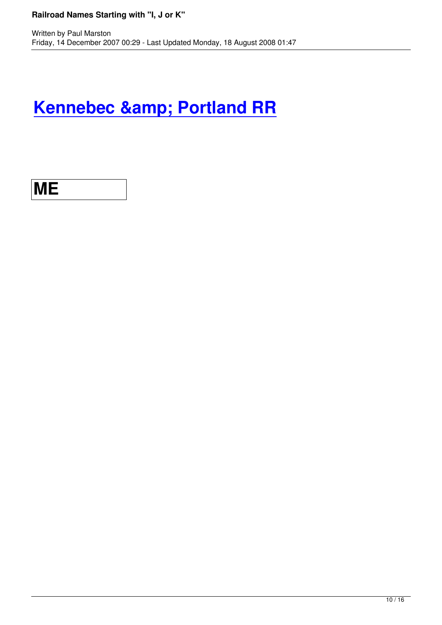## **Kennebec & Portland RR**

### **ME**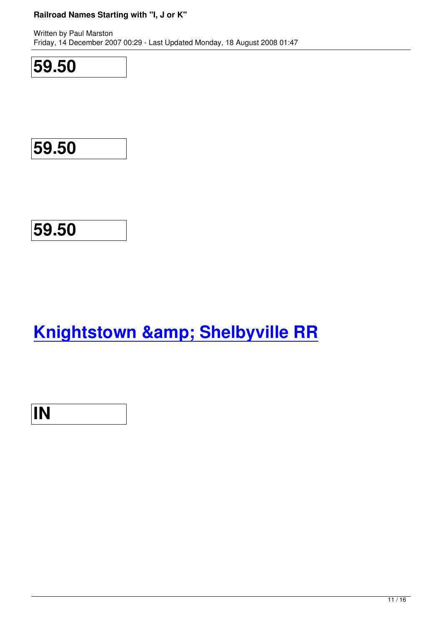**59.50**

**59.50**

## **Knightstown & amp; Shelbyville RR**

$$
\overline{\textbf{IN}}
$$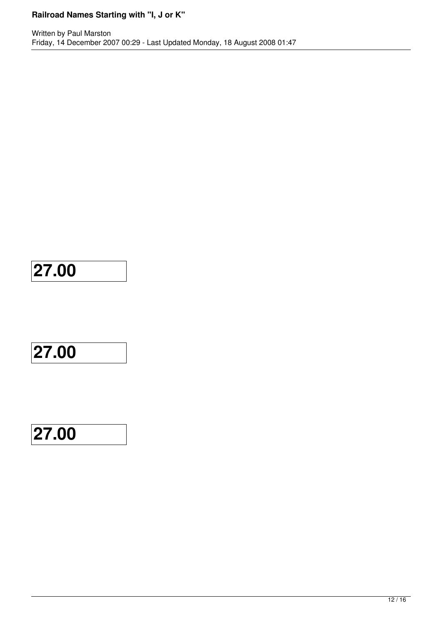### **27.00**

### **27.00**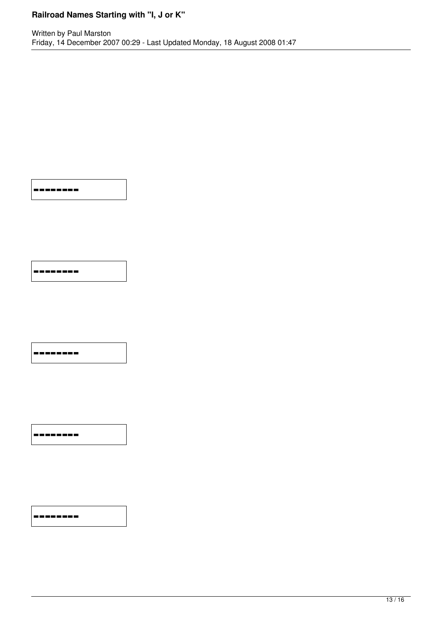**--------**

**--------**

**--------**

**--------**

**--------**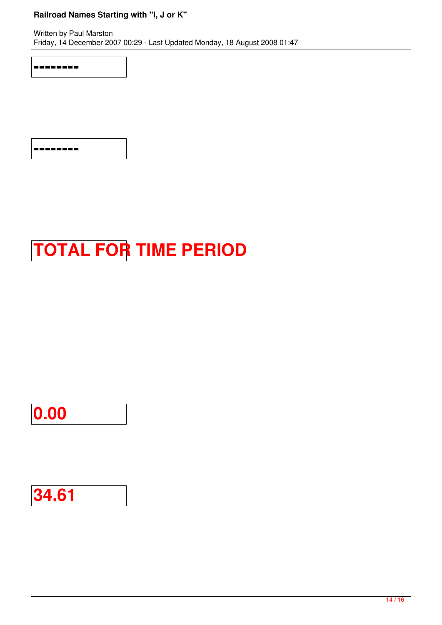**--------**

**--------**

# **TOTAL FOR TIME PERIOD**

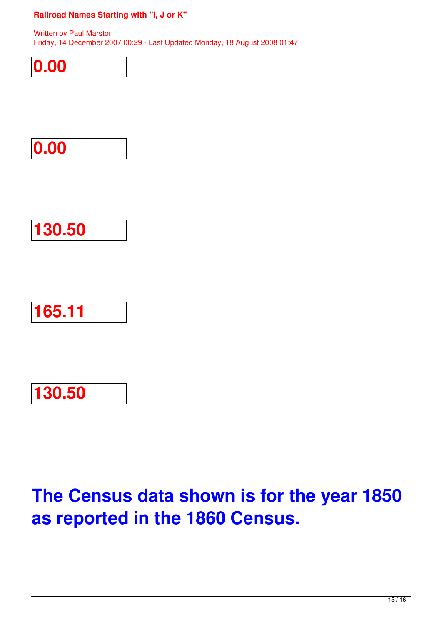### **0.00**









## **The Census data shown is for the year 1850 as reported in the 1860 Census.**